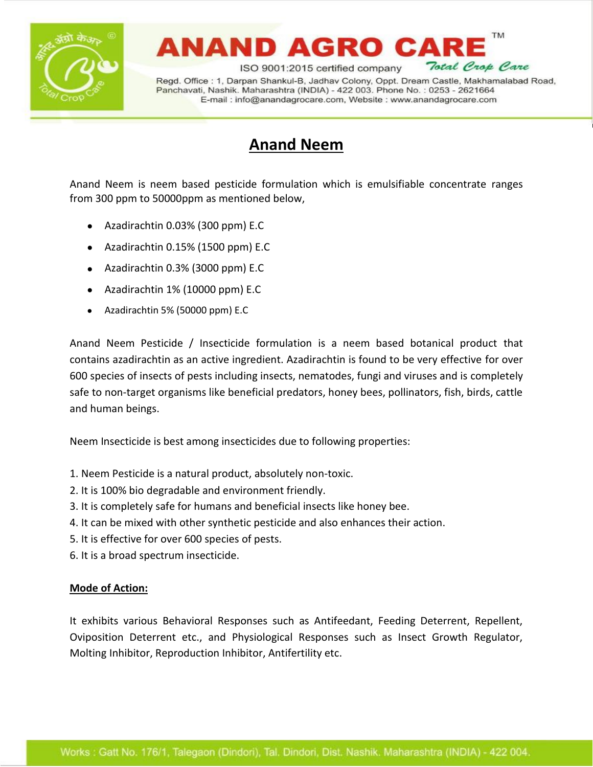

# ANAND AGRO CA

Total Crop Care ISO 9001:2015 certified company Regd. Office: 1, Darpan Shankul-B, Jadhav Colony, Oppt. Dream Castle, Makhamalabad Road, Panchavati, Nashik. Maharashtra (INDIA) - 422 003. Phone No.: 0253 - 2621664 E-mail: info@anandagrocare.com, Website: www.anandagrocare.com

**TM** 

### **Anand Neem**

Anand Neem is neem based pesticide formulation which is emulsifiable concentrate ranges from 300 ppm to 50000ppm as mentioned below,

- Azadirachtin 0.03% (300 ppm) E.C
- Azadirachtin 0.15% (1500 ppm) E.C
- Azadirachtin 0.3% (3000 ppm) E.C
- Azadirachtin 1% (10000 ppm) E.C
- Azadirachtin 5% (50000 ppm) E.C

Anand Neem Pesticide / Insecticide formulation is a neem based botanical product that contains azadirachtin as an active ingredient. Azadirachtin is found to be very effective for over 600 species of insects of pests including insects, nematodes, fungi and viruses and is completely safe to non-target organisms like beneficial predators, honey bees, pollinators, fish, birds, cattle and human beings.

Neem Insecticide is best among insecticides due to following properties:

- 1. Neem Pesticide is a natural product, absolutely non-toxic.
- 2. It is 100% bio degradable and environment friendly.
- 3. It is completely safe for humans and beneficial insects like honey bee.
- 4. It can be mixed with other synthetic pesticide and also enhances their action.
- 5. It is effective for over 600 species of pests.
- 6. It is a broad spectrum insecticide.

### **Mode of Action:**

It exhibits various Behavioral Responses such as Antifeedant, Feeding Deterrent, Repellent, Oviposition Deterrent etc., and Physiological Responses such as Insect Growth Regulator, Molting Inhibitor, Reproduction Inhibitor, Antifertility etc.